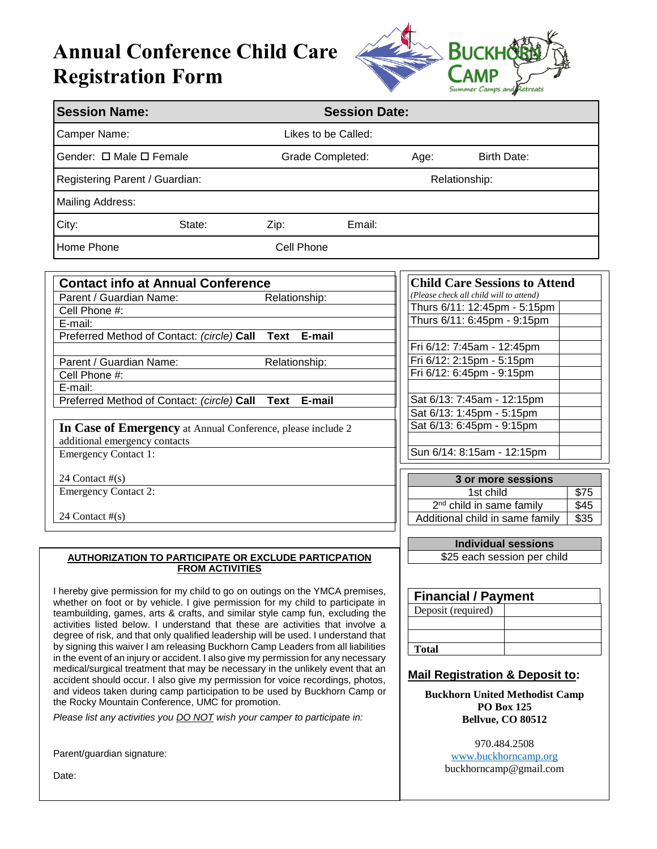# **Annual Conference Child Care Registration Form**



| <b>Session Name:</b>                                                                                                                                                                                                                                                                                                                                                                                                                                                                                                                                                                                                                                                                                                                                                                                                                                                                                                                                                                         | <b>Session Date:</b> |                                                                                                                                                                                                   |  |  |
|----------------------------------------------------------------------------------------------------------------------------------------------------------------------------------------------------------------------------------------------------------------------------------------------------------------------------------------------------------------------------------------------------------------------------------------------------------------------------------------------------------------------------------------------------------------------------------------------------------------------------------------------------------------------------------------------------------------------------------------------------------------------------------------------------------------------------------------------------------------------------------------------------------------------------------------------------------------------------------------------|----------------------|---------------------------------------------------------------------------------------------------------------------------------------------------------------------------------------------------|--|--|
| Camper Name:                                                                                                                                                                                                                                                                                                                                                                                                                                                                                                                                                                                                                                                                                                                                                                                                                                                                                                                                                                                 | Likes to be Called:  |                                                                                                                                                                                                   |  |  |
| Gender: □ Male □ Female                                                                                                                                                                                                                                                                                                                                                                                                                                                                                                                                                                                                                                                                                                                                                                                                                                                                                                                                                                      | Grade Completed:     | <b>Birth Date:</b><br>Age:                                                                                                                                                                        |  |  |
| Registering Parent / Guardian:                                                                                                                                                                                                                                                                                                                                                                                                                                                                                                                                                                                                                                                                                                                                                                                                                                                                                                                                                               |                      | Relationship:                                                                                                                                                                                     |  |  |
| Mailing Address:                                                                                                                                                                                                                                                                                                                                                                                                                                                                                                                                                                                                                                                                                                                                                                                                                                                                                                                                                                             |                      |                                                                                                                                                                                                   |  |  |
| City:<br>State:                                                                                                                                                                                                                                                                                                                                                                                                                                                                                                                                                                                                                                                                                                                                                                                                                                                                                                                                                                              | Email:<br>Zip:       |                                                                                                                                                                                                   |  |  |
| Home Phone                                                                                                                                                                                                                                                                                                                                                                                                                                                                                                                                                                                                                                                                                                                                                                                                                                                                                                                                                                                   | Cell Phone           |                                                                                                                                                                                                   |  |  |
| <b>Contact info at Annual Conference</b><br>Parent / Guardian Name:<br>Relationship:<br>Cell Phone #:                                                                                                                                                                                                                                                                                                                                                                                                                                                                                                                                                                                                                                                                                                                                                                                                                                                                                        |                      | <b>Child Care Sessions to Attend</b><br>(Please check all child will to attend)<br>Thurs 6/11: 12:45pm - 5:15pm                                                                                   |  |  |
| E-mail:<br>Preferred Method of Contact: (circle) Call                                                                                                                                                                                                                                                                                                                                                                                                                                                                                                                                                                                                                                                                                                                                                                                                                                                                                                                                        | E-mail<br>Text       | Thurs 6/11: 6:45pm - 9:15pm<br>Fri 6/12: 7:45am - 12:45pm                                                                                                                                         |  |  |
| Parent / Guardian Name:<br>Cell Phone #:<br>E-mail:                                                                                                                                                                                                                                                                                                                                                                                                                                                                                                                                                                                                                                                                                                                                                                                                                                                                                                                                          | Relationship:        | Fri 6/12: 2:15pm - 5:15pm<br>Fri 6/12: 6:45pm - 9:15pm                                                                                                                                            |  |  |
| Preferred Method of Contact: (circle) Call Text<br>In Case of Emergency at Annual Conference, please include 2<br>additional emergency contacts                                                                                                                                                                                                                                                                                                                                                                                                                                                                                                                                                                                                                                                                                                                                                                                                                                              | E-mail               | Sat 6/13: 7:45am - 12:15pm<br>Sat 6/13: 1:45pm - 5:15pm<br>Sat 6/13: 6:45pm - 9:15pm                                                                                                              |  |  |
| <b>Emergency Contact 1:</b>                                                                                                                                                                                                                                                                                                                                                                                                                                                                                                                                                                                                                                                                                                                                                                                                                                                                                                                                                                  |                      | Sun 6/14: 8:15am - 12:15pm                                                                                                                                                                        |  |  |
| 24 Contact $#(s)$<br><b>Emergency Contact 2:</b><br>24 Contact $#(s)$                                                                                                                                                                                                                                                                                                                                                                                                                                                                                                                                                                                                                                                                                                                                                                                                                                                                                                                        |                      | 3 or more sessions<br>\$75<br>1st child<br>2 <sup>nd</sup> child in same family<br>\$45<br>Additional child in same family<br>\$35                                                                |  |  |
| <b>AUTHORIZATION TO PARTICIPATE OR EXCLUDE PARTICPATION</b><br><b>FROM ACTIVITIES</b>                                                                                                                                                                                                                                                                                                                                                                                                                                                                                                                                                                                                                                                                                                                                                                                                                                                                                                        |                      | <b>Individual sessions</b><br>\$25 each session per child                                                                                                                                         |  |  |
| I hereby give permission for my child to go on outings on the YMCA premises,<br>whether on foot or by vehicle. I give permission for my child to participate in<br>teambuilding, games, arts & crafts, and similar style camp fun, excluding the<br>activities listed below. I understand that these are activities that involve a<br>degree of risk, and that only qualified leadership will be used. I understand that<br>by signing this waiver I am releasing Buckhorn Camp Leaders from all liabilities<br>in the event of an injury or accident. I also give my permission for any necessary<br>medical/surgical treatment that may be necessary in the unlikely event that an<br>accident should occur. I also give my permission for voice recordings, photos,<br>and videos taken during camp participation to be used by Buckhorn Camp or<br>the Rocky Mountain Conference, UMC for promotion.<br>Please list any activities you <b>DO NOT</b> wish your camper to participate in: |                      | <b>Financial / Payment</b><br>Deposit (required)<br><b>Total</b><br><b>Mail Registration &amp; Deposit to:</b><br><b>Buckhorn United Methodist Camp</b><br><b>PO Box 125</b><br>Bellvue, CO 80512 |  |  |
| Parent/guardian signature:<br>Date:                                                                                                                                                                                                                                                                                                                                                                                                                                                                                                                                                                                                                                                                                                                                                                                                                                                                                                                                                          |                      | 970.484.2508<br>www.buckhorncamp.org<br>buckhorncamp@gmail.com                                                                                                                                    |  |  |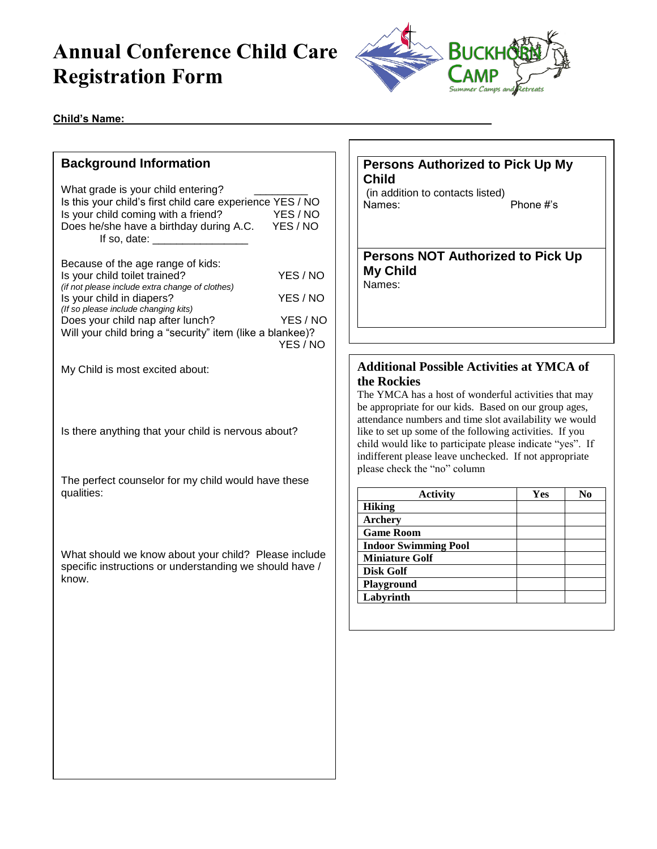# **Annual Conference Child Care Registration Form**



#### Child's Name:

# **Background Information** What grade is your child entering? Is this your child's first child care experience YES / NO Is your child coming with a friend? YES / NO Does he/she have a birthday during A.C. YES / NO If so, date:  $\Box$ Because of the age range of kids: Is your child toilet trained? YES / NO *(if not please include extra change of clothes)*  Is your child in diapers? YES / NO *(If so please include changing kits)* Does your child nap after lunch? YES / NO Will your child bring a "security" item (like a blankee)? YES / NO My Child is most excited about: Is there anything that your child is nervous about? The perfect counselor for my child would have these qualities: What should we know about your child? Please include specific instructions or understanding we should have / know.

### **Persons Authorized to Pick Up My Child**

(in addition to contacts listed) Names: Phone #'s

#### **Persons NOT Authorized to Pick Up My Child** Names:

## **Additional Possible Activities at YMCA of the Rockies**

The YMCA has a host of wonderful activities that may be appropriate for our kids. Based on our group ages, attendance numbers and time slot availability we would like to set up some of the following activities. If you child would like to participate please indicate "yes". If indifferent please leave unchecked. If not appropriate please check the "no" column

| Yes | No |
|-----|----|
|     |    |
|     |    |
|     |    |
|     |    |
|     |    |
|     |    |
|     |    |
|     |    |
|     |    |